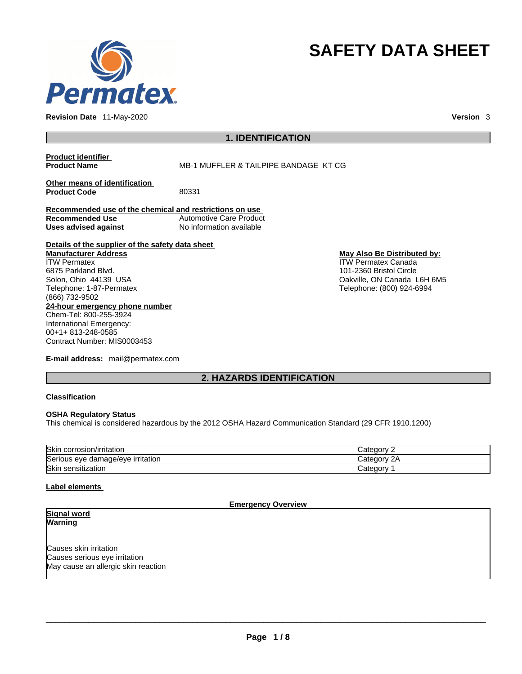

**Revision Date** 11-May-2020 **Version** 3

# **SAFETY DATA SHEET**

## **1. IDENTIFICATION**

**Product identifier**

**MB-1 MUFFLER & TAILPIPE BANDAGE KT CG** 

**Other means of identification**<br>**Product Code** 80331 **Product Code** 

**Recommended use of the chemical and restrictions on use Recommended Use** Automotive Care Product **Uses advised against** No information available

**Details of the supplier of the safety data sheet Manufacturer Address**

**24-hour emergency phone number** Chem-Tel: 800-255-3924 International Emergency: 00+1+ 813-248-0585 Contract Number: MIS0003453 ITW Permatex 6875 Parkland Blvd. Solon, Ohio 44139 USA Telephone: 1-87-Permatex (866) 732-9502

**E-mail address:** mail@permatex.com

**May Also Be Distributed by:** ITW Permatex Canada

101-2360 Bristol Circle Oakville, ON Canada L6H 6M5 Telephone: (800) 924-6994

**2. HAZARDS IDENTIFICATION** 

#### **Classification**

#### **OSHA Regulatory Status**

This chemical is considered hazardous by the 2012 OSHA Hazard Communication Standard (29 CFR 1910.1200)

| <b>Skir</b><br>n/irritatior<br>corrosior          | atogon<br><b>Calcul</b> |
|---------------------------------------------------|-------------------------|
| Serio<br>edamage/eve irritation {<br>'ious<br>eve | ּיי<br>۷F<br>Udio -     |
| Skin<br>sensitization                             | ateaory<br>valeuu       |

#### **Label elements**

**Emergency Overview** 

**Signal word Warning** 

Causes skin irritation Causes serious eye irritation May cause an allergic skin reaction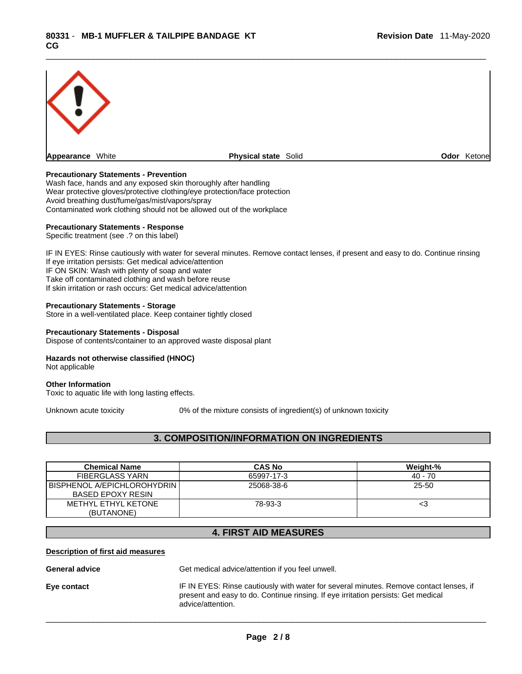

#### **Precautionary Statements - Prevention**

Wash face, hands and any exposed skin thoroughly after handling Wear protective gloves/protective clothing/eye protection/face protection Avoid breathing dust/fume/gas/mist/vapors/spray Contaminated work clothing should not be allowed out of the workplace

#### **Precautionary Statements - Response**

Specific treatment (see .? on this label)

IF IN EYES: Rinse cautiously with water for several minutes. Remove contact lenses, if present and easy to do. Continue rinsing If eye irritation persists: Get medical advice/attention IF ON SKIN: Wash with plenty of soap and water Take off contaminated clothing and wash before reuse If skin irritation or rash occurs: Get medical advice/attention

#### **Precautionary Statements - Storage**

Store in a well-ventilated place. Keep container tightly closed

#### **Precautionary Statements - Disposal**

Dispose of contents/container to an approved waste disposal plant

#### **Hazards not otherwise classified (HNOC)**

Not applicable

#### **Other Information**

Toxic to aquatic life with long lasting effects.

Unknown acute toxicity 0% of the mixture consists of ingredient(s) of unknown toxicity

### **3. COMPOSITION/INFORMATION ON INGREDIENTS**

| <b>Chemical Name</b>        | <b>CAS No</b> | Weight-%  |
|-----------------------------|---------------|-----------|
| <b>FIBERGLASS YARN</b>      | 65997-17-3    | $40 - 70$ |
| BISPHENOL A/EPICHLOROHYDRIN | 25068-38-6    | 25-50     |
| <b>BASED EPOXY RESIN</b>    |               |           |
| METHYL ETHYL KETONE         | 78-93-3       | <3        |
| (BUTANONE)                  |               |           |

#### **4. FIRST AID MEASURES**

#### **Description of first aid measures**

General **advice** Get medical advice/attention if you feel unwell.

advice/attention.

**Eye contact** IF IN EYES: Rinse cautiously with water forseveral minutes. Remove contact lenses, if present and easy to do. Continue rinsing. If eye irritation persists: Get medical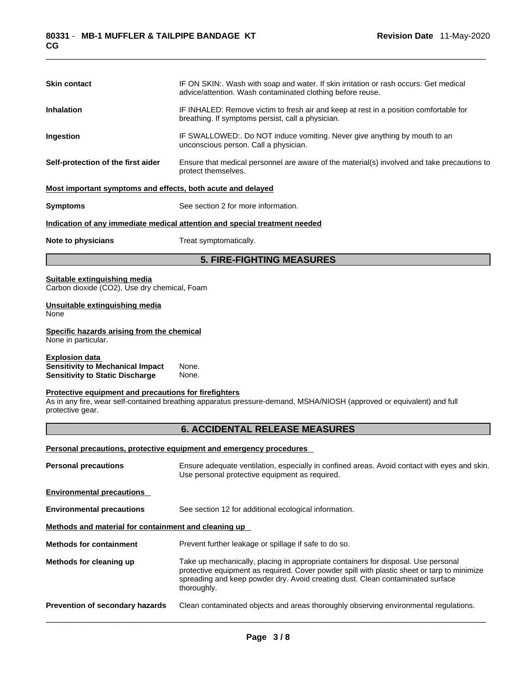| <b>Skin contact</b>                                                                                        | IF ON SKIN:. Wash with soap and water. If skin irritation or rash occurs: Get medical<br>advice/attention. Wash contaminated clothing before reuse.                                                                                                                                |  |  |
|------------------------------------------------------------------------------------------------------------|------------------------------------------------------------------------------------------------------------------------------------------------------------------------------------------------------------------------------------------------------------------------------------|--|--|
| <b>Inhalation</b>                                                                                          | IF INHALED: Remove victim to fresh air and keep at rest in a position comfortable for<br>breathing. If symptoms persist, call a physician.                                                                                                                                         |  |  |
| Ingestion                                                                                                  | IF SWALLOWED:. Do NOT induce vomiting. Never give anything by mouth to an<br>unconscious person. Call a physician.                                                                                                                                                                 |  |  |
| Self-protection of the first aider                                                                         | Ensure that medical personnel are aware of the material(s) involved and take precautions to<br>protect themselves.                                                                                                                                                                 |  |  |
| Most important symptoms and effects, both acute and delayed                                                |                                                                                                                                                                                                                                                                                    |  |  |
| <b>Symptoms</b>                                                                                            | See section 2 for more information.                                                                                                                                                                                                                                                |  |  |
|                                                                                                            | Indication of any immediate medical attention and special treatment needed                                                                                                                                                                                                         |  |  |
| Note to physicians                                                                                         | Treat symptomatically.                                                                                                                                                                                                                                                             |  |  |
|                                                                                                            | <b>5. FIRE-FIGHTING MEASURES</b>                                                                                                                                                                                                                                                   |  |  |
| Suitable extinguishing media<br>Carbon dioxide (CO2), Use dry chemical, Foam                               |                                                                                                                                                                                                                                                                                    |  |  |
| Unsuitable extinguishing media<br>None                                                                     |                                                                                                                                                                                                                                                                                    |  |  |
| Specific hazards arising from the chemical<br>None in particular.                                          |                                                                                                                                                                                                                                                                                    |  |  |
| <b>Explosion data</b><br><b>Sensitivity to Mechanical Impact</b><br><b>Sensitivity to Static Discharge</b> | None.<br>None.                                                                                                                                                                                                                                                                     |  |  |
| Protective equipment and precautions for firefighters<br>protective gear.                                  | As in any fire, wear self-contained breathing apparatus pressure-demand, MSHA/NIOSH (approved or equivalent) and full                                                                                                                                                              |  |  |
|                                                                                                            | <b>6. ACCIDENTAL RELEASE MEASURES</b>                                                                                                                                                                                                                                              |  |  |
|                                                                                                            | Personal precautions, protective equipment and emergency procedures                                                                                                                                                                                                                |  |  |
| <b>Personal precautions</b>                                                                                | Ensure adequate ventilation, especially in confined areas. Avoid contact with eyes and skin.<br>Use personal protective equipment as required.                                                                                                                                     |  |  |
| <b>Environmental precautions</b>                                                                           |                                                                                                                                                                                                                                                                                    |  |  |
| <b>Environmental precautions</b>                                                                           | See section 12 for additional ecological information.                                                                                                                                                                                                                              |  |  |
| Methods and material for containment and cleaning up                                                       |                                                                                                                                                                                                                                                                                    |  |  |
| <b>Methods for containment</b>                                                                             | Prevent further leakage or spillage if safe to do so.                                                                                                                                                                                                                              |  |  |
| Methods for cleaning up                                                                                    | Take up mechanically, placing in appropriate containers for disposal. Use personal<br>protective equipment as required. Cover powder spill with plastic sheet or tarp to minimize<br>spreading and keep powder dry. Avoid creating dust. Clean contaminated surface<br>thoroughly. |  |  |
| Prevention of secondary hazards                                                                            | Clean contaminated objects and areas thoroughly observing environmental regulations.                                                                                                                                                                                               |  |  |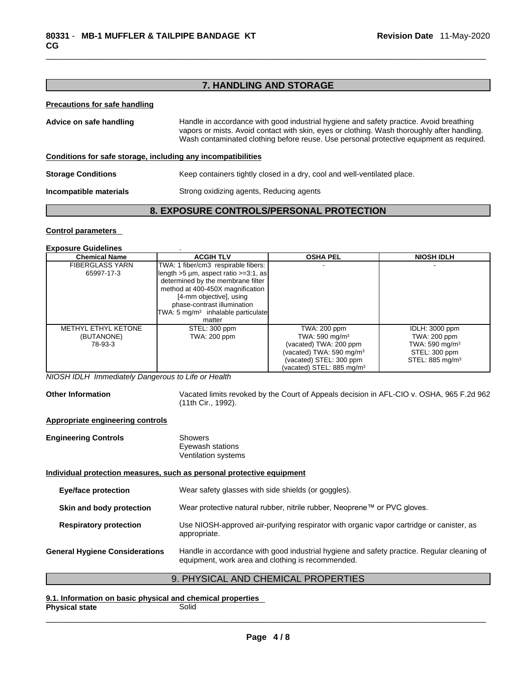# **7. HANDLING AND STORAGE**

#### **Precautions for safe handling**

| Advice on safe handling                                      | Handle in accordance with good industrial hygiene and safety practice. Avoid breathing<br>vapors or mists. Avoid contact with skin, eyes or clothing. Wash thoroughly after handling.<br>Wash contaminated clothing before reuse. Use personal protective equipment as required. |  |  |
|--------------------------------------------------------------|----------------------------------------------------------------------------------------------------------------------------------------------------------------------------------------------------------------------------------------------------------------------------------|--|--|
| Conditions for safe storage, including any incompatibilities |                                                                                                                                                                                                                                                                                  |  |  |
| <b>Storage Conditions</b>                                    | Keep containers tightly closed in a dry, cool and well-ventilated place.                                                                                                                                                                                                         |  |  |
| Incompatible materials                                       | Strong oxidizing agents, Reducing agents                                                                                                                                                                                                                                         |  |  |

#### **8. EXPOSURE CONTROLS/PERSONAL PROTECTION**

#### **Control parameters**

# **Exposure Guidelines** .

| <b>Chemical Name</b>   | <b>ACGIH TLV</b>                               | <b>OSHA PEL</b>                       | <b>NIOSH IDLH</b>           |
|------------------------|------------------------------------------------|---------------------------------------|-----------------------------|
| <b>FIBERGLASS YARN</b> | TWA: 1 fiber/cm3 respirable fibers:            |                                       |                             |
| 65997-17-3             | length $>5$ µm, aspect ratio $>=3.1$ , as      |                                       |                             |
|                        | determined by the membrane filter              |                                       |                             |
|                        | method at 400-450X magnification               |                                       |                             |
|                        | [4-mm objective], using                        |                                       |                             |
|                        | phase-contrast illumination                    |                                       |                             |
|                        | TWA: 5 mg/m <sup>3</sup> inhalable particulate |                                       |                             |
|                        | matter                                         |                                       |                             |
| METHYL ETHYL KETONE    | STEL: 300 ppm                                  | TWA: 200 ppm                          | IDLH: 3000 ppm              |
| (BUTANONE)             | <b>TWA: 200 ppm</b>                            | TWA: 590 mg/m <sup>3</sup>            | TWA: 200 ppm                |
| 78-93-3                |                                                | (vacated) TWA: 200 ppm                | TWA: 590 mg/m <sup>3</sup>  |
|                        |                                                | (vacated) TWA: 590 mg/m $3$           | STEL: 300 ppm               |
|                        |                                                | (vacated) STEL: 300 ppm               | STEL: 885 mg/m <sup>3</sup> |
|                        |                                                | (vacated) STEL: 885 mg/m <sup>3</sup> |                             |

*NIOSH IDLH Immediately Dangerous to Life or Health* 

**Other Information** Vacated limits revoked by the Court of Appeals decision in AFL-CIO v.OSHA, 965 F.2d 962 (11th Cir., 1992).

#### **Appropriate engineering controls**

| <b>Engineering Controls</b>                                           | Showers<br>Eyewash stations<br>Ventilation systems                                                                                              |  |
|-----------------------------------------------------------------------|-------------------------------------------------------------------------------------------------------------------------------------------------|--|
| Individual protection measures, such as personal protective equipment |                                                                                                                                                 |  |
| <b>Eye/face protection</b>                                            | Wear safety glasses with side shields (or goggles).                                                                                             |  |
| Skin and body protection                                              | Wear protective natural rubber, nitrile rubber, Neoprene™ or PVC gloves.                                                                        |  |
| <b>Respiratory protection</b>                                         | Use NIOSH-approved air-purifying respirator with organic vapor cartridge or canister, as<br>appropriate.                                        |  |
| <b>General Hygiene Considerations</b>                                 | Handle in accordance with good industrial hygiene and safety practice. Regular cleaning of<br>equipment, work area and clothing is recommended. |  |

# 9. PHYSICAL AND CHEMICAL PROPERTIES

**9.1. Information on basic physical and chemical properties Physical state**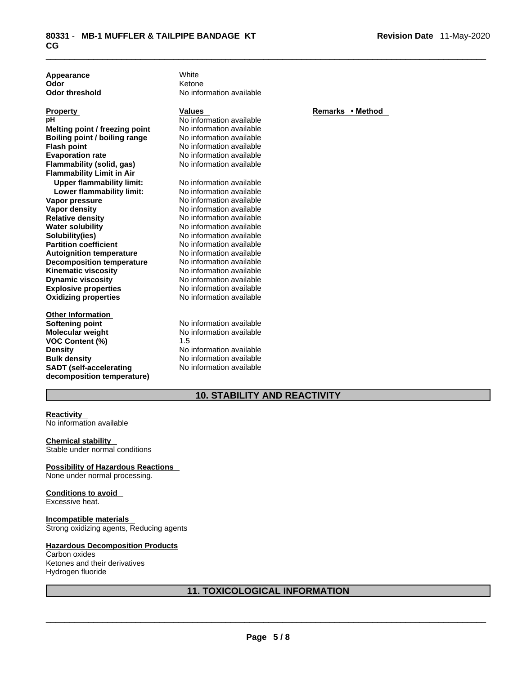**Appearance** White **Odor** 

**Explosive properties**<br> **Oxidizing properties**<br>
No information available **Oxidizing properties Melting point / freezing point** No information available **Boiling point / boiling range** No information available<br> **Flash point** No information available **Flash point**<br> **Evaporation rate**<br> **Evaporation rate**<br> **No information available Flammability** (solid, gas) **Flammability Limit in Air Upper flammability limit:** No information available<br> **Lower flammability limit:** No information available **Lower flammability limit: Vapor pressure** No information available **Vapor density No information available Relative density** No information available **Water solubility** No information available **Solubility(ies)** No information available **Partition coefficient** No information available **Autoignition temperature No information available**<br> **Decomposition temperature No information available Decomposition temperature** No information available<br>**Kinematic viscosity** No information available **Kinematic viscosity Dynamic viscosity** No information available

#### **Other Information Softening point** No information available **Molecular weight No information available**<br>**VOC Content (%)** 1.5 **VOC** Content (%) **Density No information available Bulk density No information available SADT (self-accelerating decomposition temperature)**

**Odor Contract Contract Contract Contract Contract Contract Contract Contract Contract Contract Contract Contract Contract Contract Contract Contract Contract Contract Contract Contract Contract Contract Contract Contrac Odor threshold** No information available

**No information available** No information available<br>No information available

No information available

# **Property**<br> **Remarks** • **Method**<br> **Remarks** • **Method**<br> **Remarks** • **Method**

# **10. STABILITY AND REACTIVITY**

#### **Reactivity**

No information available

#### **Chemical stability**

Stable under normal conditions

#### **Possibility of Hazardous Reactions**

None under normal processing.

# **Conditions to avoid**

Excessive heat.

# **Incompatible materials**

Strong oxidizing agents, Reducing agents

### **Hazardous Decomposition Products** Carbon oxides

Ketones and their derivatives Hydrogen fluoride

### **11. TOXICOLOGICAL INFORMATION**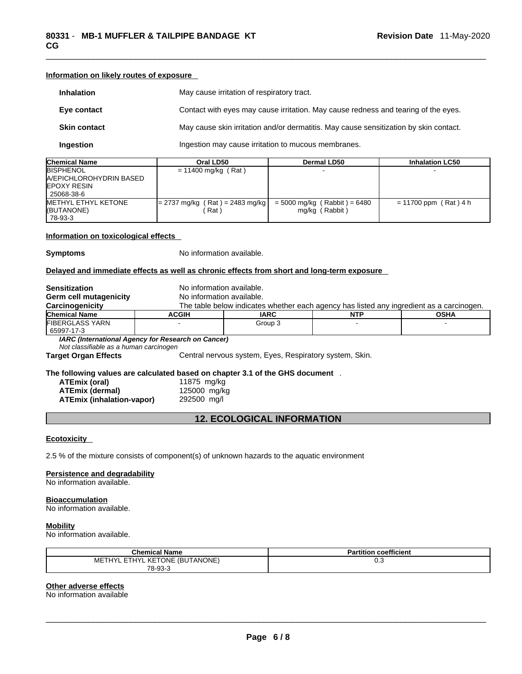**Information on likely routes of exposure**

| <b>Inhalation</b>                                                                           |                                                                                            | May cause irritation of respiratory tract.                                               |                         |  |
|---------------------------------------------------------------------------------------------|--------------------------------------------------------------------------------------------|------------------------------------------------------------------------------------------|-------------------------|--|
| Eye contact                                                                                 |                                                                                            | Contact with eyes may cause irritation. May cause redness and tearing of the eyes.       |                         |  |
| <b>Skin contact</b>                                                                         |                                                                                            | May cause skin irritation and/or dermatitis. May cause sensitization by skin contact.    |                         |  |
| Ingestion                                                                                   |                                                                                            | Ingestion may cause irritation to mucous membranes.                                      |                         |  |
| <b>Chemical Name</b>                                                                        | Oral LD50                                                                                  | Dermal LD50                                                                              | <b>Inhalation LC50</b>  |  |
| BISPHENOL<br>A/EPICHLOROHYDRIN BASED<br>EPOXY RESIN<br>25068-38-6                           | $= 11400$ mg/kg (Rat)                                                                      |                                                                                          |                         |  |
| METHYL ETHYL KETONE<br>(BUTANONE)<br>78-93-3                                                | $= 2737$ mg/kg (Rat) = 2483 mg/kg<br>(Rat)                                                 | $= 5000$ mg/kg (Rabbit) = 6480<br>mg/kg (Rabbit)                                         | $= 11700$ ppm (Rat) 4 h |  |
| Information on toxicological effects                                                        |                                                                                            |                                                                                          |                         |  |
| <b>Symptoms</b>                                                                             | No information available.                                                                  |                                                                                          |                         |  |
|                                                                                             | Delayed and immediate effects as well as chronic effects from short and long-term exposure |                                                                                          |                         |  |
| <b>Sensitization</b>                                                                        | No information available.                                                                  |                                                                                          |                         |  |
| Germ cell mutagenicity                                                                      | No information available.                                                                  |                                                                                          |                         |  |
| Carcinogenicity                                                                             |                                                                                            | The table below indicates whether each agency has listed any ingredient as a carcinogen. |                         |  |
| <b>Chemical Name</b>                                                                        | <b>ACGIH</b><br><b>IARC</b>                                                                | <b>NTP</b>                                                                               | <b>OSHA</b>             |  |
| FIBERGLASS YARN<br>65997-17-3                                                               |                                                                                            | Group 3<br>$\sim$                                                                        |                         |  |
| Not classifiable as a human carcinogen                                                      | IARC (International Agency for Research on Cancer)                                         |                                                                                          |                         |  |
| <b>Target Organ Effects</b>                                                                 |                                                                                            | Central nervous system, Eyes, Respiratory system, Skin.                                  |                         |  |
|                                                                                             | The following values are calculated based on chapter 3.1 of the GHS document .             |                                                                                          |                         |  |
| <b>ATEmix (oral)</b>                                                                        | 11875 mg/kg                                                                                |                                                                                          |                         |  |
| <b>ATEmix (dermal)</b>                                                                      | 125000 mg/kg                                                                               |                                                                                          |                         |  |
| <b>ATEmix (inhalation-vapor)</b>                                                            | 292500 mg/l                                                                                |                                                                                          |                         |  |
| <b>12. ECOLOGICAL INFORMATION</b>                                                           |                                                                                            |                                                                                          |                         |  |
|                                                                                             |                                                                                            |                                                                                          |                         |  |
| <b>Ecotoxicity</b>                                                                          |                                                                                            |                                                                                          |                         |  |
| 2.5 % of the mixture consists of component(s) of unknown hazards to the aquatic environment |                                                                                            |                                                                                          |                         |  |
| Persistence and degradability<br>No information available.                                  |                                                                                            |                                                                                          |                         |  |
| <b>Bioaccumulation</b>                                                                      |                                                                                            |                                                                                          |                         |  |

No information available.

# **Mobility**

No information available.

| <b>Chemical Name</b>           | <b>Partition coefficient</b> |
|--------------------------------|------------------------------|
| METHYL ETHYL KETONE (BUTANONE) | v.J                          |
| 78-93-3                        |                              |

#### **Other adverse effects**

No information available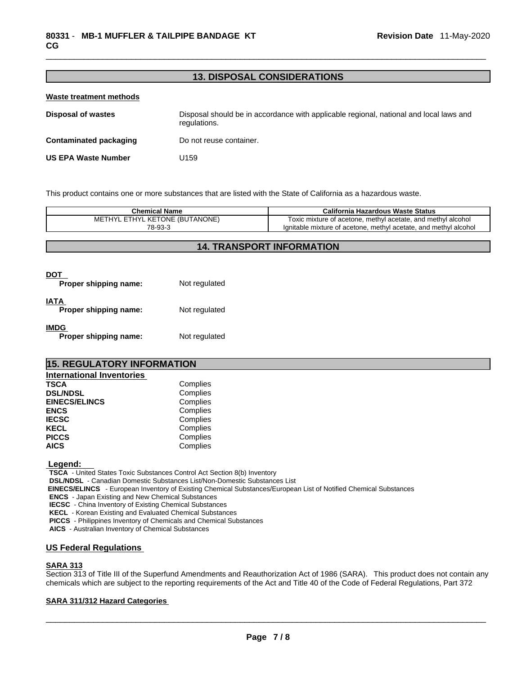#### **13. DISPOSAL CONSIDERATIONS**

| <b>Waste treatment methods</b> |                                                                                                        |
|--------------------------------|--------------------------------------------------------------------------------------------------------|
| <b>Disposal of wastes</b>      | Disposal should be in accordance with applicable regional, national and local laws and<br>regulations. |
| <b>Contaminated packaging</b>  | Do not reuse container.                                                                                |
| <b>US EPA Waste Number</b>     | U159                                                                                                   |

This product contains one or more substances that are listed with the State of California as a hazardous waste.

| Chemical Name                                  | California Hazardous Waste Status                                        |
|------------------------------------------------|--------------------------------------------------------------------------|
| <b>KETONE (BUTANONE)</b><br><b>FTHYI</b><br>MЕ | methyl acetate, and methyl alcohol<br>Toxic mixture of acetone. m        |
| 78-93-3                                        | lanitable mixture of acetone, methyl<br>and methyl alcohol<br>l acetate. |

#### **14. TRANSPORT INFORMATION**

| Proper shipping name:                | Not regulated |
|--------------------------------------|---------------|
| <b>IATA</b><br>Proper shipping name: | Not regulated |
| <b>IMDG</b><br>Proper shipping name: | Not regulated |

# **15. REGULATORY INFORMATION International Inventories**

| Complies |
|----------|
| Complies |
| Complies |
| Complies |
| Complies |
| Complies |
| Complies |
| Complies |
|          |

 **Legend:** 

**TSCA** - United States Toxic Substances Control Act Section 8(b) Inventory

**DSL/NDSL** - Canadian Domestic Substances List/Non-Domestic Substances List

 **EINECS/ELINCS** - European Inventory of Existing Chemical Substances/European List of Notified Chemical Substances

**ENCS** - Japan Existing and New Chemical Substances

**IECSC** - China Inventory of Existing Chemical Substances

**KECL** - Korean Existing and Evaluated Chemical Substances

**PICCS** - Philippines Inventory of Chemicals and Chemical Substances

**AICS** - Australian Inventory of Chemical Substances

#### **US Federal Regulations**

#### **SARA 313**

Section 313 of Title III of the Superfund Amendments and Reauthorization Act of 1986 (SARA). This product does not contain any chemicals which are subject to the reporting requirements of the Act and Title 40 of the Code of Federal Regulations, Part 372

#### **SARA 311/312 Hazard Categories**